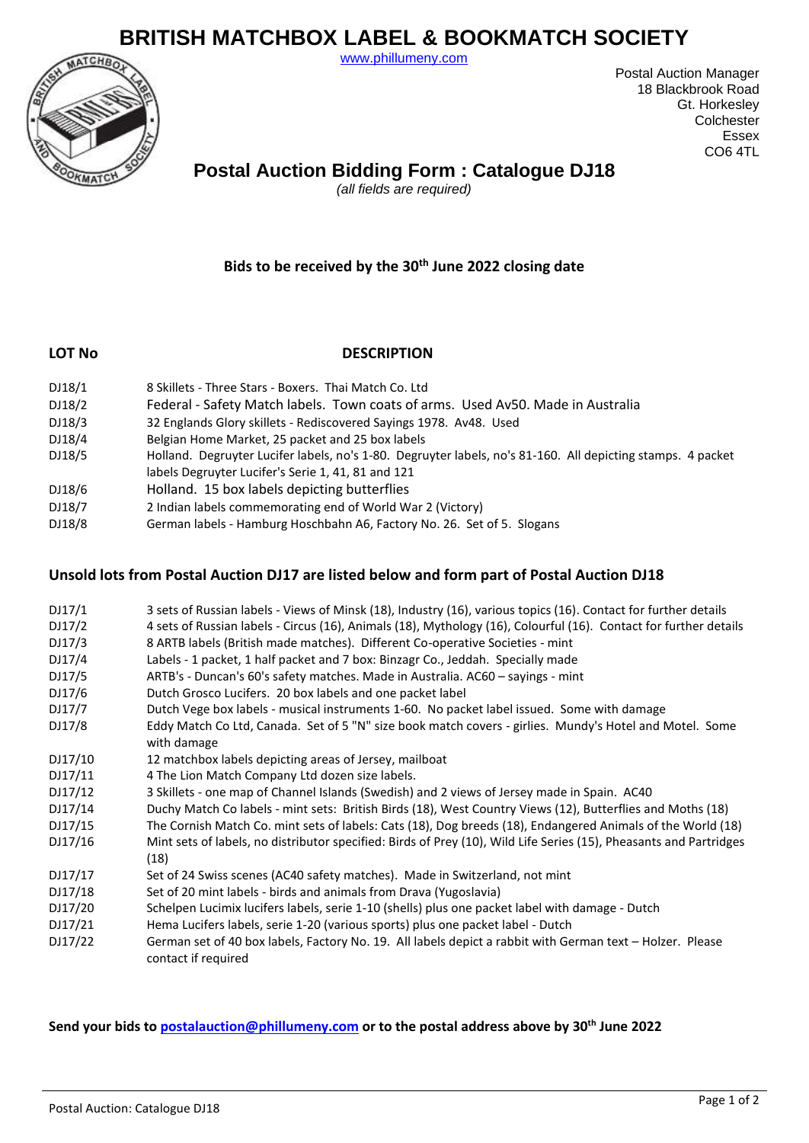# **BRITISH MATCHBOX LABEL & BOOKMATCH SOCIETY**

[www.phillumeny.com](http://www.phillumeny.com/)



Postal Auction Manager 18 Blackbrook Road Gt. Horkesley **Colchester** Essex CO6 4TL

## **Postal Auction Bidding Form : Catalogue DJ18**

*(all fields are required)*

### **Bids to be received by the 30th June 2022 closing date**

#### **LOT No DESCRIPTION**

| DJ18/1 | 8 Skillets - Three Stars - Boxers, Thai Match Co. Ltd                                                                                                             |
|--------|-------------------------------------------------------------------------------------------------------------------------------------------------------------------|
| DJ18/2 | Federal - Safety Match labels. Town coats of arms. Used Av50. Made in Australia                                                                                   |
| DJ18/3 | 32 Englands Glory skillets - Rediscovered Sayings 1978. Av48. Used                                                                                                |
| DJ18/4 | Belgian Home Market, 25 packet and 25 box labels                                                                                                                  |
| DJ18/5 | Holland. Degruyter Lucifer labels, no's 1-80. Degruyter labels, no's 81-160. All depicting stamps. 4 packet<br>labels Degruyter Lucifer's Serie 1, 41, 81 and 121 |
| DJ18/6 | Holland. 15 box labels depicting butterflies                                                                                                                      |
| DJ18/7 | 2 Indian labels commemorating end of World War 2 (Victory)                                                                                                        |
|        |                                                                                                                                                                   |

DJ18/8 German labels - Hamburg Hoschbahn A6, Factory No. 26. Set of 5. Slogans

#### **Unsold lots from Postal Auction DJ17 are listed below and form part of Postal Auction DJ18**

| DJ17/1  | 3 sets of Russian labels - Views of Minsk (18), Industry (16), various topics (16). Contact for further details                  |
|---------|----------------------------------------------------------------------------------------------------------------------------------|
| DJ17/2  | 4 sets of Russian labels - Circus (16), Animals (18), Mythology (16), Colourful (16). Contact for further details                |
| DJ17/3  | 8 ARTB labels (British made matches). Different Co-operative Societies - mint                                                    |
| DJ17/4  | Labels - 1 packet, 1 half packet and 7 box: Binzagr Co., Jeddah. Specially made                                                  |
| DJ17/5  | ARTB's - Duncan's 60's safety matches. Made in Australia. AC60 - sayings - mint                                                  |
| DJ17/6  | Dutch Grosco Lucifers. 20 box labels and one packet label                                                                        |
| DJ17/7  | Dutch Vege box labels - musical instruments 1-60. No packet label issued. Some with damage                                       |
| DJ17/8  | Eddy Match Co Ltd, Canada. Set of 5 "N" size book match covers - girlies. Mundy's Hotel and Motel. Some<br>with damage           |
| DJ17/10 | 12 matchbox labels depicting areas of Jersey, mailboat                                                                           |
| DJ17/11 | 4 The Lion Match Company Ltd dozen size labels.                                                                                  |
| DJ17/12 | 3 Skillets - one map of Channel Islands (Swedish) and 2 views of Jersey made in Spain. AC40                                      |
| DJ17/14 | Duchy Match Co labels - mint sets: British Birds (18), West Country Views (12), Butterflies and Moths (18)                       |
| DJ17/15 | The Cornish Match Co. mint sets of labels: Cats (18), Dog breeds (18), Endangered Animals of the World (18)                      |
| DJ17/16 | Mint sets of labels, no distributor specified: Birds of Prey (10), Wild Life Series (15), Pheasants and Partridges<br>(18)       |
| DJ17/17 | Set of 24 Swiss scenes (AC40 safety matches). Made in Switzerland, not mint                                                      |
| DJ17/18 | Set of 20 mint labels - birds and animals from Drava (Yugoslavia)                                                                |
| DJ17/20 | Schelpen Lucimix lucifers labels, serie 1-10 (shells) plus one packet label with damage - Dutch                                  |
| DJ17/21 | Hema Lucifers labels, serie 1-20 (various sports) plus one packet label - Dutch                                                  |
| DJ17/22 | German set of 40 box labels, Factory No. 19. All labels depict a rabbit with German text – Holzer. Please<br>contact if required |

**Send your bids to [postalauction@phillumeny.com](mailto:postalauction@phillumeny.com) or to the postal address above by 30th June 2022**